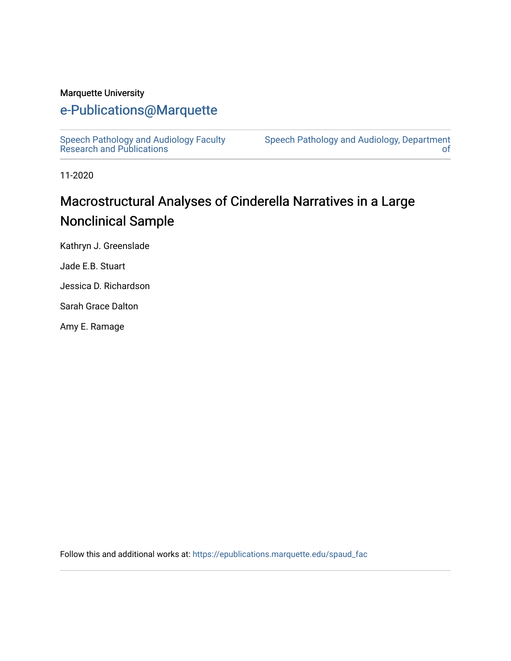#### Marquette University

# [e-Publications@Marquette](https://epublications.marquette.edu/)

[Speech Pathology and Audiology Faculty](https://epublications.marquette.edu/spaud_fac) [Research and Publications](https://epublications.marquette.edu/spaud_fac) 

[Speech Pathology and Audiology, Department](https://epublications.marquette.edu/spaud)  [of](https://epublications.marquette.edu/spaud) 

11-2020

# Macrostructural Analyses of Cinderella Narratives in a Large Nonclinical Sample

Kathryn J. Greenslade

Jade E.B. Stuart

Jessica D. Richardson

Sarah Grace Dalton

Amy E. Ramage

Follow this and additional works at: [https://epublications.marquette.edu/spaud\\_fac](https://epublications.marquette.edu/spaud_fac?utm_source=epublications.marquette.edu%2Fspaud_fac%2F54&utm_medium=PDF&utm_campaign=PDFCoverPages)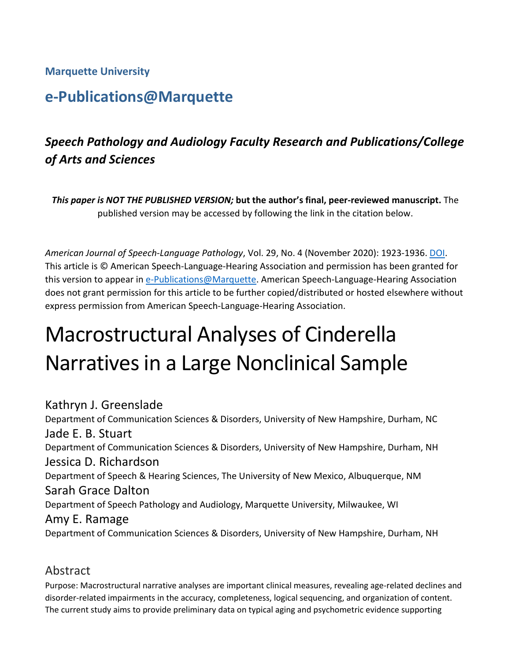## **Marquette University**

# **e-Publications@Marquette**

# *Speech Pathology and Audiology Faculty Research and Publications/College of Arts and Sciences*

*This paper is NOT THE PUBLISHED VERSION;* **but the author's final, peer-reviewed manuscript.** The published version may be accessed by following the link in the citation below.

*American Journal of Speech-Language Pathology*, Vol. 29, No. 4 (November 2020): 1923-1936. [DOI.](https://doi.org/10.1044/2020_AJSLP-19-00151) This article is © American Speech-Language-Hearing Association and permission has been granted for this version to appear i[n e-Publications@Marquette.](http://epublications.marquette.edu/) American Speech-Language-Hearing Association does not grant permission for this article to be further copied/distributed or hosted elsewhere without express permission from American Speech-Language-Hearing Association.

# Macrostructural Analyses of Cinderella Narratives in a Large Nonclinical Sample

Kathryn J. Greenslade Department of Communication Sciences & Disorders, University of New Hampshire, Durham, NC Jade E. B. Stuart Department of Communication Sciences & Disorders, University of New Hampshire, Durham, NH Jessica D. Richardson Department of Speech & Hearing Sciences, The University of New Mexico, Albuquerque, NM Sarah Grace Dalton Department of Speech Pathology and Audiology, Marquette University, Milwaukee, WI Amy E. Ramage Department of Communication Sciences & Disorders, University of New Hampshire, Durham, NH

## Abstract

Purpose: Macrostructural narrative analyses are important clinical measures, revealing age-related declines and disorder-related impairments in the accuracy, completeness, logical sequencing, and organization of content. The current study aims to provide preliminary data on typical aging and psychometric evidence supporting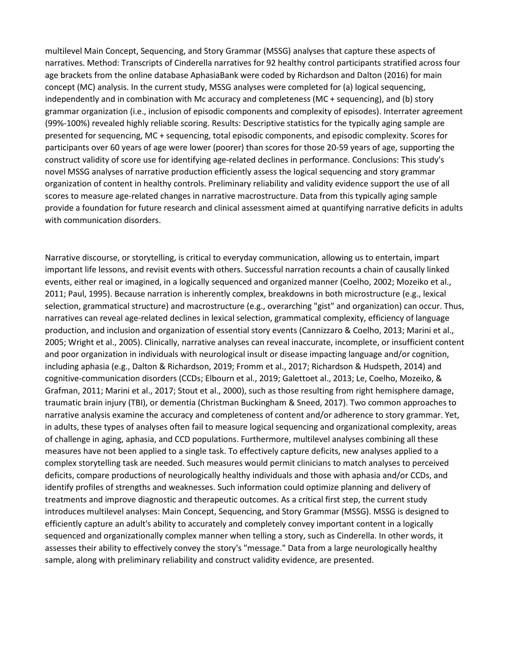multilevel Main Concept, Sequencing, and Story Grammar (MSSG) analyses that capture these aspects of narratives. Method: Transcripts of Cinderella narratives for 92 healthy control participants stratified across four age brackets from the online database AphasiaBank were coded by Richardson and Dalton (2016) for main concept (MC) analysis. In the current study, MSSG analyses were completed for (a) logical sequencing, independently and in combination with Mc accuracy and completeness (MC + sequencing), and (b) story grammar organization (i.e., inclusion of episodic components and complexity of episodes). Interrater agreement (99%-100%) revealed highly reliable scoring. Results: Descriptive statistics for the typically aging sample are presented for sequencing, MC + sequencing, total episodic components, and episodic complexity. Scores for participants over 60 years of age were lower (poorer) than scores for those 20-59 years of age, supporting the construct validity of score use for identifying age-related declines in performance. Conclusions: This study's novel MSSG analyses of narrative production efficiently assess the logical sequencing and story grammar organization of content in healthy controls. Preliminary reliability and validity evidence support the use of all scores to measure age-related changes in narrative macrostructure. Data from this typically aging sample provide a foundation for future research and clinical assessment aimed at quantifying narrative deficits in adults with communication disorders.

Narrative discourse, or storytelling, is critical to everyday communication, allowing us to entertain, impart important life lessons, and revisit events with others. Successful narration recounts a chain of causally linked events, either real or imagined, in a logically sequenced and organized manner (Coelho, 2002; Mozeiko et al., 2011; Paul, 1995). Because narration is inherently complex, breakdowns in both microstructure (e.g., lexical selection, grammatical structure) and macrostructure (e.g., overarching "gist" and organization) can occur. Thus, narratives can reveal age-related declines in lexical selection, grammatical complexity, efficiency of language production, and inclusion and organization of essential story events (Cannizzaro & Coelho, 2013; Marini et al., 2005; Wright et al., 2005). Clinically, narrative analyses can reveal inaccurate, incomplete, or insufficient content and poor organization in individuals with neurological insult or disease impacting language and/or cognition, including aphasia (e.g., Dalton & Richardson, 2019; Fromm et al., 2017; Richardson & Hudspeth, 2014) and cognitive-communication disorders (CCDs; Elbourn et al., 2019; Galettoet al., 2013; Le, Coelho, Mozeiko, & Grafman, 2011; Marini et al., 2017; Stout et al., 2000), such as those resulting from right hemisphere damage, traumatic brain injury (TBI), or dementia (Christman Buckingham & Sneed, 2017). Two common approaches to narrative analysis examine the accuracy and completeness of content and/or adherence to story grammar. Yet, in adults, these types of analyses often fail to measure logical sequencing and organizational complexity, areas of challenge in aging, aphasia, and CCD populations. Furthermore, multilevel analyses combining all these measures have not been applied to a single task. To effectively capture deficits, new analyses applied to a complex storytelling task are needed. Such measures would permit clinicians to match analyses to perceived deficits, compare productions of neurologically healthy individuals and those with aphasia and/or CCDs, and identify profiles of strengths and weaknesses. Such information could optimize planning and delivery of treatments and improve diagnostic and therapeutic outcomes. As a critical first step, the current study introduces multilevel analyses: Main Concept, Sequencing, and Story Grammar (MSSG). MSSG is designed to efficiently capture an adult's ability to accurately and completely convey important content in a logically sequenced and organizationally complex manner when telling a story, such as Cinderella. In other words, it assesses their ability to effectively convey the story's "message." Data from a large neurologically healthy sample, along with preliminary reliability and construct validity evidence, are presented.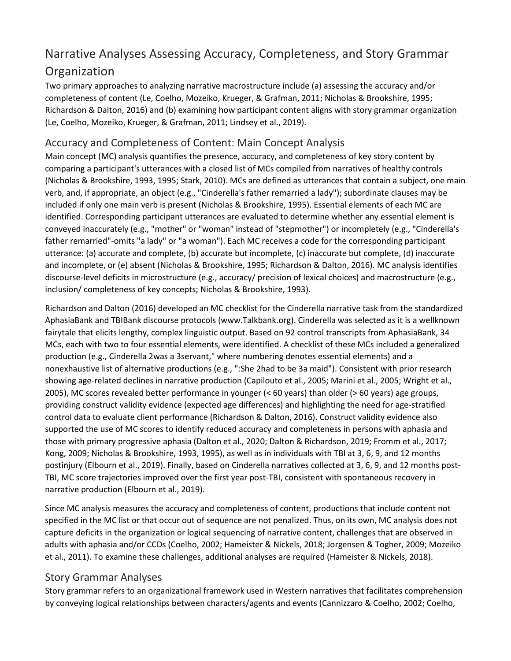# Narrative Analyses Assessing Accuracy, Completeness, and Story Grammar Organization

Two primary approaches to analyzing narrative macrostructure include (a) assessing the accuracy and/or completeness of content (Le, Coelho, Mozeiko, Krueger, & Grafman, 2011; Nicholas & Brookshire, 1995; Richardson & Dalton, 2016) and (b) examining how participant content aligns with story grammar organization (Le, Coelho, Mozeiko, Krueger, & Grafman, 2011; Lindsey et al., 2019).

## Accuracy and Completeness of Content: Main Concept Analysis

Main concept (MC) analysis quantifies the presence, accuracy, and completeness of key story content by comparing a participant's utterances with a closed list of MCs compiled from narratives of healthy controls (Nicholas & Brookshire, 1993, 1995; Stark, 2010). MCs are defined as utterances that contain a subject, one main verb, and, if appropriate, an object (e.g., "Cinderella's father remarried a lady"); subordinate clauses may be included if only one main verb is present (Nicholas & Brookshire, 1995). Essential elements of each MC are identified. Corresponding participant utterances are evaluated to determine whether any essential element is conveyed inaccurately (e.g., "mother" or "woman" instead of "stepmother") or incompletely (e.g., "Cinderella's father remarried"-omits "a lady" or "a woman"). Each MC receives a code for the corresponding participant utterance: (a) accurate and complete, (b) accurate but incomplete, (c) inaccurate but complete, (d) inaccurate and incomplete, or (e) absent (Nicholas & Brookshire, 1995; Richardson & Dalton, 2016). MC analysis identifies discourse-level deficits in microstructure (e.g., accuracy/ precision of lexical choices) and macrostructure (e.g., inclusion/ completeness of key concepts; Nicholas & Brookshire, 1993).

Richardson and Dalton (2016) developed an MC checklist for the Cinderella narrative task from the standardized AphasiaBank and TBIBank discourse protocols (www.Talkbank.org). Cinderella was selected as it is a wellknown fairytale that elicits lengthy, complex linguistic output. Based on 92 control transcripts from AphasiaBank, 34 MCs, each with two to four essential elements, were identified. A checklist of these MCs included a generalized production (e.g., Cinderella 2was a 3servant," where numbering denotes essential elements) and a nonexhaustive list of alternative productions (e.g., ":She 2had to be 3a maid"). Consistent with prior research showing age-related declines in narrative production (Capilouto et al., 2005; Marini et al., 2005; Wright et al., 2005), MC scores revealed better performance in younger (< 60 years) than older (> 60 years) age groups, providing construct validity evidence (expected age differences) and highlighting the need for age-stratified control data to evaluate client performance (Richardson & Dalton, 2016). Construct validity evidence also supported the use of MC scores to identify reduced accuracy and completeness in persons with aphasia and those with primary progressive aphasia (Dalton et al., 2020; Dalton & Richardson, 2019; Fromm et al., 2017; Kong, 2009; Nicholas & Brookshire, 1993, 1995), as well as in individuals with TBI at 3, 6, 9, and 12 months postinjury (Elbourn et al., 2019). Finally, based on Cinderella narratives collected at 3, 6, 9, and 12 months post-TBI, MC score trajectories improved over the first year post-TBI, consistent with spontaneous recovery in narrative production (Elbourn et al., 2019).

Since MC analysis measures the accuracy and completeness of content, productions that include content not specified in the MC list or that occur out of sequence are not penalized. Thus, on its own, MC analysis does not capture deficits in the organization or logical sequencing of narrative content, challenges that are observed in adults with aphasia and/or CCDs (Coelho, 2002; Hameister & Nickels, 2018; Jorgensen & Togher, 2009; Mozeiko et al., 2011). To examine these challenges, additional analyses are required (Hameister & Nickels, 2018).

#### Story Grammar Analyses

Story grammar refers to an organizational framework used in Western narratives that facilitates comprehension by conveying logical relationships between characters/agents and events (Cannizzaro & Coelho, 2002; Coelho,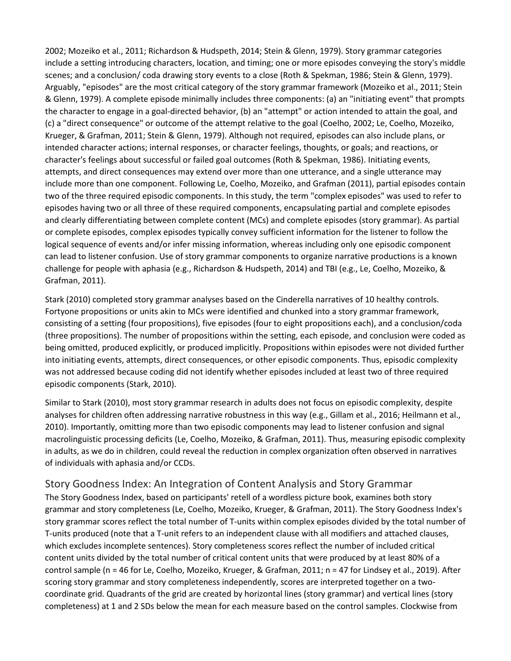2002; Mozeiko et al., 2011; Richardson & Hudspeth, 2014; Stein & Glenn, 1979). Story grammar categories include a setting introducing characters, location, and timing; one or more episodes conveying the story's middle scenes; and a conclusion/ coda drawing story events to a close (Roth & Spekman, 1986; Stein & Glenn, 1979). Arguably, "episodes" are the most critical category of the story grammar framework (Mozeiko et al., 2011; Stein & Glenn, 1979). A complete episode minimally includes three components: (a) an "initiating event" that prompts the character to engage in a goal-directed behavior, (b) an "attempt" or action intended to attain the goal, and (c) a "direct consequence" or outcome of the attempt relative to the goal (Coelho, 2002; Le, Coelho, Mozeiko, Krueger, & Grafman, 2011; Stein & Glenn, 1979). Although not required, episodes can also include plans, or intended character actions; internal responses, or character feelings, thoughts, or goals; and reactions, or character's feelings about successful or failed goal outcomes (Roth & Spekman, 1986). Initiating events, attempts, and direct consequences may extend over more than one utterance, and a single utterance may include more than one component. Following Le, Coelho, Mozeiko, and Grafman (2011), partial episodes contain two of the three required episodic components. In this study, the term "complex episodes" was used to refer to episodes having two or all three of these required components, encapsulating partial and complete episodes and clearly differentiating between complete content (MCs) and complete episodes (story grammar). As partial or complete episodes, complex episodes typically convey sufficient information for the listener to follow the logical sequence of events and/or infer missing information, whereas including only one episodic component can lead to listener confusion. Use of story grammar components to organize narrative productions is a known challenge for people with aphasia (e.g., Richardson & Hudspeth, 2014) and TBI (e.g., Le, Coelho, Mozeiko, & Grafman, 2011).

Stark (2010) completed story grammar analyses based on the Cinderella narratives of 10 healthy controls. Fortyone propositions or units akin to MCs were identified and chunked into a story grammar framework, consisting of a setting (four propositions), five episodes (four to eight propositions each), and a conclusion/coda (three propositions). The number of propositions within the setting, each episode, and conclusion were coded as being omitted, produced explicitly, or produced implicitly. Propositions within episodes were not divided further into initiating events, attempts, direct consequences, or other episodic components. Thus, episodic complexity was not addressed because coding did not identify whether episodes included at least two of three required episodic components (Stark, 2010).

Similar to Stark (2010), most story grammar research in adults does not focus on episodic complexity, despite analyses for children often addressing narrative robustness in this way (e.g., Gillam et al., 2016; Heilmann et al., 2010). Importantly, omitting more than two episodic components may lead to listener confusion and signal macrolinguistic processing deficits (Le, Coelho, Mozeiko, & Grafman, 2011). Thus, measuring episodic complexity in adults, as we do in children, could reveal the reduction in complex organization often observed in narratives of individuals with aphasia and/or CCDs.

#### Story Goodness Index: An Integration of Content Analysis and Story Grammar

The Story Goodness Index, based on participants' retell of a wordless picture book, examines both story grammar and story completeness (Le, Coelho, Mozeiko, Krueger, & Grafman, 2011). The Story Goodness Index's story grammar scores reflect the total number of T-units within complex episodes divided by the total number of T-units produced (note that a T-unit refers to an independent clause with all modifiers and attached clauses, which excludes incomplete sentences). Story completeness scores reflect the number of included critical content units divided by the total number of critical content units that were produced by at least 80% of a control sample (n = 46 for Le, Coelho, Mozeiko, Krueger, & Grafman, 2011; n = 47 for Lindsey et al., 2019). After scoring story grammar and story completeness independently, scores are interpreted together on a twocoordinate grid. Quadrants of the grid are created by horizontal lines (story grammar) and vertical lines (story completeness) at 1 and 2 SDs below the mean for each measure based on the control samples. Clockwise from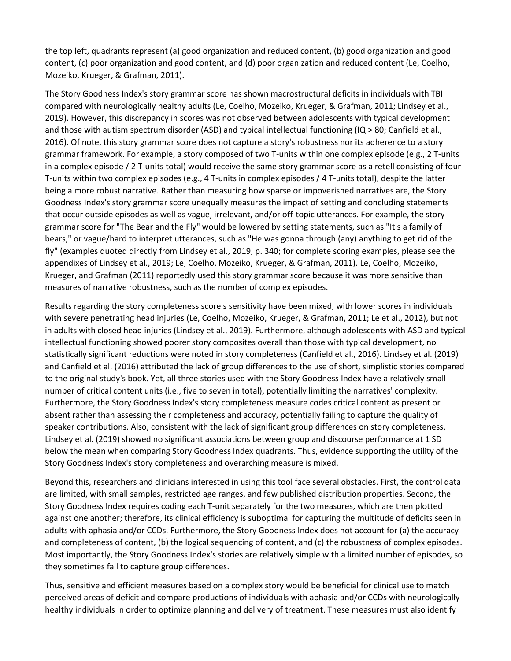the top left, quadrants represent (a) good organization and reduced content, (b) good organization and good content, (c) poor organization and good content, and (d) poor organization and reduced content (Le, Coelho, Mozeiko, Krueger, & Grafman, 2011).

The Story Goodness Index's story grammar score has shown macrostructural deficits in individuals with TBI compared with neurologically healthy adults (Le, Coelho, Mozeiko, Krueger, & Grafman, 2011; Lindsey et al., 2019). However, this discrepancy in scores was not observed between adolescents with typical development and those with autism spectrum disorder (ASD) and typical intellectual functioning (IQ > 80; Canfield et al., 2016). Of note, this story grammar score does not capture a story's robustness nor its adherence to a story grammar framework. For example, a story composed of two T-units within one complex episode (e.g., 2 T-units in a complex episode / 2 T-units total) would receive the same story grammar score as a retell consisting of four T-units within two complex episodes (e.g., 4 T-units in complex episodes / 4 T-units total), despite the latter being a more robust narrative. Rather than measuring how sparse or impoverished narratives are, the Story Goodness Index's story grammar score unequally measures the impact of setting and concluding statements that occur outside episodes as well as vague, irrelevant, and/or off-topic utterances. For example, the story grammar score for "The Bear and the Fly" would be lowered by setting statements, such as "It's a family of bears," or vague/hard to interpret utterances, such as "He was gonna through (any) anything to get rid of the fly" (examples quoted directly from Lindsey et al., 2019, p. 340; for complete scoring examples, please see the appendixes of Lindsey et al., 2019; Le, Coelho, Mozeiko, Krueger, & Grafman, 2011). Le, Coelho, Mozeiko, Krueger, and Grafman (2011) reportedly used this story grammar score because it was more sensitive than measures of narrative robustness, such as the number of complex episodes.

Results regarding the story completeness score's sensitivity have been mixed, with lower scores in individuals with severe penetrating head injuries (Le, Coelho, Mozeiko, Krueger, & Grafman, 2011; Le et al., 2012), but not in adults with closed head injuries (Lindsey et al., 2019). Furthermore, although adolescents with ASD and typical intellectual functioning showed poorer story composites overall than those with typical development, no statistically significant reductions were noted in story completeness (Canfield et al., 2016). Lindsey et al. (2019) and Canfield et al. (2016) attributed the lack of group differences to the use of short, simplistic stories compared to the original study's book. Yet, all three stories used with the Story Goodness Index have a relatively small number of critical content units (i.e., five to seven in total), potentially limiting the narratives' complexity. Furthermore, the Story Goodness Index's story completeness measure codes critical content as present or absent rather than assessing their completeness and accuracy, potentially failing to capture the quality of speaker contributions. Also, consistent with the lack of significant group differences on story completeness, Lindsey et al. (2019) showed no significant associations between group and discourse performance at 1 SD below the mean when comparing Story Goodness Index quadrants. Thus, evidence supporting the utility of the Story Goodness Index's story completeness and overarching measure is mixed.

Beyond this, researchers and clinicians interested in using this tool face several obstacles. First, the control data are limited, with small samples, restricted age ranges, and few published distribution properties. Second, the Story Goodness Index requires coding each T-unit separately for the two measures, which are then plotted against one another; therefore, its clinical efficiency is suboptimal for capturing the multitude of deficits seen in adults with aphasia and/or CCDs. Furthermore, the Story Goodness Index does not account for (a) the accuracy and completeness of content, (b) the logical sequencing of content, and (c) the robustness of complex episodes. Most importantly, the Story Goodness Index's stories are relatively simple with a limited number of episodes, so they sometimes fail to capture group differences.

Thus, sensitive and efficient measures based on a complex story would be beneficial for clinical use to match perceived areas of deficit and compare productions of individuals with aphasia and/or CCDs with neurologically healthy individuals in order to optimize planning and delivery of treatment. These measures must also identify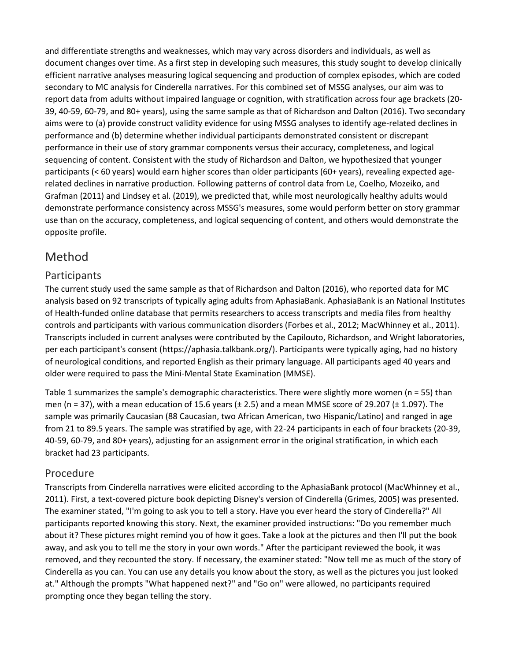and differentiate strengths and weaknesses, which may vary across disorders and individuals, as well as document changes over time. As a first step in developing such measures, this study sought to develop clinically efficient narrative analyses measuring logical sequencing and production of complex episodes, which are coded secondary to MC analysis for Cinderella narratives. For this combined set of MSSG analyses, our aim was to report data from adults without impaired language or cognition, with stratification across four age brackets (20- 39, 40-59, 60-79, and 80+ years), using the same sample as that of Richardson and Dalton (2016). Two secondary aims were to (a) provide construct validity evidence for using MSSG analyses to identify age-related declines in performance and (b) determine whether individual participants demonstrated consistent or discrepant performance in their use of story grammar components versus their accuracy, completeness, and logical sequencing of content. Consistent with the study of Richardson and Dalton, we hypothesized that younger participants (< 60 years) would earn higher scores than older participants (60+ years), revealing expected agerelated declines in narrative production. Following patterns of control data from Le, Coelho, Mozeiko, and Grafman (2011) and Lindsey et al. (2019), we predicted that, while most neurologically healthy adults would demonstrate performance consistency across MSSG's measures, some would perform better on story grammar use than on the accuracy, completeness, and logical sequencing of content, and others would demonstrate the opposite profile.

# Method

#### Participants

The current study used the same sample as that of Richardson and Dalton (2016), who reported data for MC analysis based on 92 transcripts of typically aging adults from AphasiaBank. AphasiaBank is an National Institutes of Health-funded online database that permits researchers to access transcripts and media files from healthy controls and participants with various communication disorders (Forbes et al., 2012; MacWhinney et al., 2011). Transcripts included in current analyses were contributed by the Capilouto, Richardson, and Wright laboratories, per each participant's consent (https://aphasia.talkbank.org/). Participants were typically aging, had no history of neurological conditions, and reported English as their primary language. All participants aged 40 years and older were required to pass the Mini-Mental State Examination (MMSE).

Table 1 summarizes the sample's demographic characteristics. There were slightly more women (n = 55) than men (n = 37), with a mean education of 15.6 years ( $\pm$  2.5) and a mean MMSE score of 29.207 ( $\pm$  1.097). The sample was primarily Caucasian (88 Caucasian, two African American, two Hispanic/Latino) and ranged in age from 21 to 89.5 years. The sample was stratified by age, with 22-24 participants in each of four brackets (20-39, 40-59, 60-79, and 80+ years), adjusting for an assignment error in the original stratification, in which each bracket had 23 participants.

#### Procedure

Transcripts from Cinderella narratives were elicited according to the AphasiaBank protocol (MacWhinney et al., 2011). First, a text-covered picture book depicting Disney's version of Cinderella (Grimes, 2005) was presented. The examiner stated, "I'm going to ask you to tell a story. Have you ever heard the story of Cinderella?" All participants reported knowing this story. Next, the examiner provided instructions: "Do you remember much about it? These pictures might remind you of how it goes. Take a look at the pictures and then I'll put the book away, and ask you to tell me the story in your own words." After the participant reviewed the book, it was removed, and they recounted the story. If necessary, the examiner stated: "Now tell me as much of the story of Cinderella as you can. You can use any details you know about the story, as well as the pictures you just looked at." Although the prompts "What happened next?" and "Go on" were allowed, no participants required prompting once they began telling the story.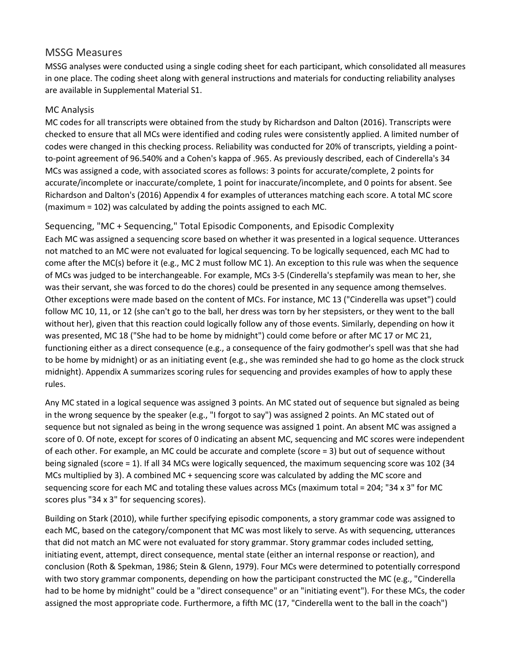#### MSSG Measures

MSSG analyses were conducted using a single coding sheet for each participant, which consolidated all measures in one place. The coding sheet along with general instructions and materials for conducting reliability analyses are available in Supplemental Material S1.

#### MC Analysis

MC codes for all transcripts were obtained from the study by Richardson and Dalton (2016). Transcripts were checked to ensure that all MCs were identified and coding rules were consistently applied. A limited number of codes were changed in this checking process. Reliability was conducted for 20% of transcripts, yielding a pointto-point agreement of 96.540% and a Cohen's kappa of .965. As previously described, each of Cinderella's 34 MCs was assigned a code, with associated scores as follows: 3 points for accurate/complete, 2 points for accurate/incomplete or inaccurate/complete, 1 point for inaccurate/incomplete, and 0 points for absent. See Richardson and Dalton's (2016) Appendix 4 for examples of utterances matching each score. A total MC score (maximum = 102) was calculated by adding the points assigned to each MC.

Sequencing, "MC + Sequencing," Total Episodic Components, and Episodic Complexity Each MC was assigned a sequencing score based on whether it was presented in a logical sequence. Utterances not matched to an MC were not evaluated for logical sequencing. To be logically sequenced, each MC had to come after the MC(s) before it (e.g., MC 2 must follow MC 1). An exception to this rule was when the sequence of MCs was judged to be interchangeable. For example, MCs 3-5 (Cinderella's stepfamily was mean to her, she was their servant, she was forced to do the chores) could be presented in any sequence among themselves. Other exceptions were made based on the content of MCs. For instance, MC 13 ("Cinderella was upset") could follow MC 10, 11, or 12 (she can't go to the ball, her dress was torn by her stepsisters, or they went to the ball without her), given that this reaction could logically follow any of those events. Similarly, depending on how it was presented, MC 18 ("She had to be home by midnight") could come before or after MC 17 or MC 21, functioning either as a direct consequence (e.g., a consequence of the fairy godmother's spell was that she had to be home by midnight) or as an initiating event (e.g., she was reminded she had to go home as the clock struck midnight). Appendix A summarizes scoring rules for sequencing and provides examples of how to apply these rules.

Any MC stated in a logical sequence was assigned 3 points. An MC stated out of sequence but signaled as being in the wrong sequence by the speaker (e.g., "I forgot to say") was assigned 2 points. An MC stated out of sequence but not signaled as being in the wrong sequence was assigned 1 point. An absent MC was assigned a score of 0. Of note, except for scores of 0 indicating an absent MC, sequencing and MC scores were independent of each other. For example, an MC could be accurate and complete (score = 3) but out of sequence without being signaled (score = 1). If all 34 MCs were logically sequenced, the maximum sequencing score was 102 (34 MCs multiplied by 3). A combined MC + sequencing score was calculated by adding the MC score and sequencing score for each MC and totaling these values across MCs (maximum total = 204; "34 x 3" for MC scores plus "34 x 3" for sequencing scores).

Building on Stark (2010), while further specifying episodic components, a story grammar code was assigned to each MC, based on the category/component that MC was most likely to serve. As with sequencing, utterances that did not match an MC were not evaluated for story grammar. Story grammar codes included setting, initiating event, attempt, direct consequence, mental state (either an internal response or reaction), and conclusion (Roth & Spekman, 1986; Stein & Glenn, 1979). Four MCs were determined to potentially correspond with two story grammar components, depending on how the participant constructed the MC (e.g., "Cinderella had to be home by midnight" could be a "direct consequence" or an "initiating event"). For these MCs, the coder assigned the most appropriate code. Furthermore, a fifth MC (17, "Cinderella went to the ball in the coach")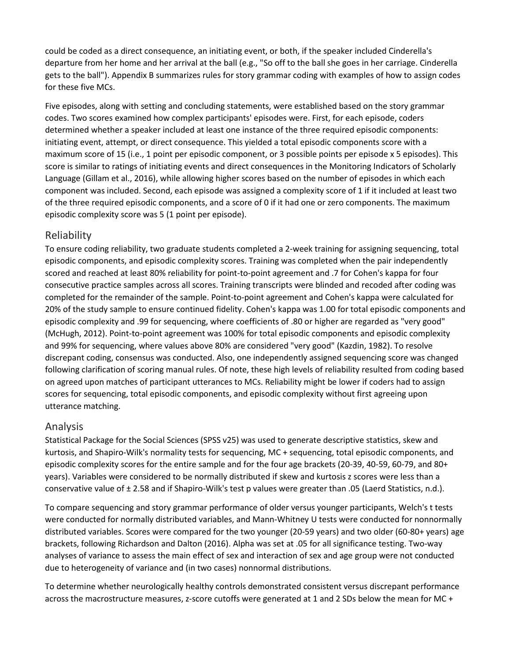could be coded as a direct consequence, an initiating event, or both, if the speaker included Cinderella's departure from her home and her arrival at the ball (e.g., "So off to the ball she goes in her carriage. Cinderella gets to the ball"). Appendix B summarizes rules for story grammar coding with examples of how to assign codes for these five MCs.

Five episodes, along with setting and concluding statements, were established based on the story grammar codes. Two scores examined how complex participants' episodes were. First, for each episode, coders determined whether a speaker included at least one instance of the three required episodic components: initiating event, attempt, or direct consequence. This yielded a total episodic components score with a maximum score of 15 (i.e., 1 point per episodic component, or 3 possible points per episode x 5 episodes). This score is similar to ratings of initiating events and direct consequences in the Monitoring Indicators of Scholarly Language (Gillam et al., 2016), while allowing higher scores based on the number of episodes in which each component was included. Second, each episode was assigned a complexity score of 1 if it included at least two of the three required episodic components, and a score of 0 if it had one or zero components. The maximum episodic complexity score was 5 (1 point per episode).

#### Reliability

To ensure coding reliability, two graduate students completed a 2-week training for assigning sequencing, total episodic components, and episodic complexity scores. Training was completed when the pair independently scored and reached at least 80% reliability for point-to-point agreement and .7 for Cohen's kappa for four consecutive practice samples across all scores. Training transcripts were blinded and recoded after coding was completed for the remainder of the sample. Point-to-point agreement and Cohen's kappa were calculated for 20% of the study sample to ensure continued fidelity. Cohen's kappa was 1.00 for total episodic components and episodic complexity and .99 for sequencing, where coefficients of .80 or higher are regarded as "very good" (McHugh, 2012). Point-to-point agreement was 100% for total episodic components and episodic complexity and 99% for sequencing, where values above 80% are considered "very good" (Kazdin, 1982). To resolve discrepant coding, consensus was conducted. Also, one independently assigned sequencing score was changed following clarification of scoring manual rules. Of note, these high levels of reliability resulted from coding based on agreed upon matches of participant utterances to MCs. Reliability might be lower if coders had to assign scores for sequencing, total episodic components, and episodic complexity without first agreeing upon utterance matching.

#### Analysis

Statistical Package for the Social Sciences (SPSS v25) was used to generate descriptive statistics, skew and kurtosis, and Shapiro-Wilk's normality tests for sequencing, MC + sequencing, total episodic components, and episodic complexity scores for the entire sample and for the four age brackets (20-39, 40-59, 60-79, and 80+ years). Variables were considered to be normally distributed if skew and kurtosis z scores were less than a conservative value of ± 2.58 and if Shapiro-Wilk's test p values were greater than .05 (Laerd Statistics, n.d.).

To compare sequencing and story grammar performance of older versus younger participants, Welch's t tests were conducted for normally distributed variables, and Mann-Whitney U tests were conducted for nonnormally distributed variables. Scores were compared for the two younger (20-59 years) and two older (60-80+ years) age brackets, following Richardson and Dalton (2016). Alpha was set at .05 for all significance testing. Two-way analyses of variance to assess the main effect of sex and interaction of sex and age group were not conducted due to heterogeneity of variance and (in two cases) nonnormal distributions.

To determine whether neurologically healthy controls demonstrated consistent versus discrepant performance across the macrostructure measures, z-score cutoffs were generated at 1 and 2 SDs below the mean for MC +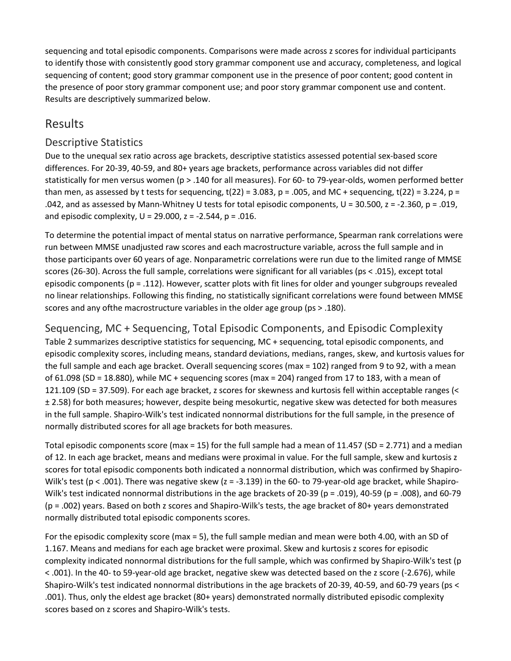sequencing and total episodic components. Comparisons were made across z scores for individual participants to identify those with consistently good story grammar component use and accuracy, completeness, and logical sequencing of content; good story grammar component use in the presence of poor content; good content in the presence of poor story grammar component use; and poor story grammar component use and content. Results are descriptively summarized below.

# Results

### Descriptive Statistics

Due to the unequal sex ratio across age brackets, descriptive statistics assessed potential sex-based score differences. For 20-39, 40-59, and 80+ years age brackets, performance across variables did not differ statistically for men versus women (p > .140 for all measures). For 60- to 79-year-olds, women performed better than men, as assessed by t tests for sequencing,  $t(22) = 3.083$ ,  $p = .005$ , and MC + sequencing,  $t(22) = 3.224$ ,  $p =$ .042, and as assessed by Mann-Whitney U tests for total episodic components, U = 30.500, z = -2.360, p = .019, and episodic complexity,  $U = 29.000$ ,  $z = -2.544$ ,  $p = .016$ .

To determine the potential impact of mental status on narrative performance, Spearman rank correlations were run between MMSE unadjusted raw scores and each macrostructure variable, across the full sample and in those participants over 60 years of age. Nonparametric correlations were run due to the limited range of MMSE scores (26-30). Across the full sample, correlations were significant for all variables (ps < .015), except total episodic components ( $p = .112$ ). However, scatter plots with fit lines for older and younger subgroups revealed no linear relationships. Following this finding, no statistically significant correlations were found between MMSE scores and any ofthe macrostructure variables in the older age group (ps > .180).

Sequencing, MC + Sequencing, Total Episodic Components, and Episodic Complexity Table 2 summarizes descriptive statistics for sequencing, MC + sequencing, total episodic components, and episodic complexity scores, including means, standard deviations, medians, ranges, skew, and kurtosis values for the full sample and each age bracket. Overall sequencing scores (max = 102) ranged from 9 to 92, with a mean of 61.098 (SD = 18.880), while MC + sequencing scores (max = 204) ranged from 17 to 183, with a mean of 121.109 (SD = 37.509). For each age bracket, z scores for skewness and kurtosis fell within acceptable ranges (< ± 2.58) for both measures; however, despite being mesokurtic, negative skew was detected for both measures in the full sample. Shapiro-Wilk's test indicated nonnormal distributions for the full sample, in the presence of normally distributed scores for all age brackets for both measures.

Total episodic components score (max = 15) for the full sample had a mean of 11.457 (SD = 2.771) and a median of 12. In each age bracket, means and medians were proximal in value. For the full sample, skew and kurtosis z scores for total episodic components both indicated a nonnormal distribution, which was confirmed by Shapiro-Wilk's test ( $p < .001$ ). There was negative skew ( $z = -3.139$ ) in the 60- to 79-year-old age bracket, while Shapiro-Wilk's test indicated nonnormal distributions in the age brackets of 20-39 (p = .019), 40-59 (p = .008), and 60-79 (p = .002) years. Based on both z scores and Shapiro-Wilk's tests, the age bracket of 80+ years demonstrated normally distributed total episodic components scores.

For the episodic complexity score (max = 5), the full sample median and mean were both 4.00, with an SD of 1.167. Means and medians for each age bracket were proximal. Skew and kurtosis z scores for episodic complexity indicated nonnormal distributions for the full sample, which was confirmed by Shapiro-Wilk's test (p < .001). In the 40- to 59-year-old age bracket, negative skew was detected based on the z score (-2.676), while Shapiro-Wilk's test indicated nonnormal distributions in the age brackets of 20-39, 40-59, and 60-79 years (ps < .001). Thus, only the eldest age bracket (80+ years) demonstrated normally distributed episodic complexity scores based on z scores and Shapiro-Wilk's tests.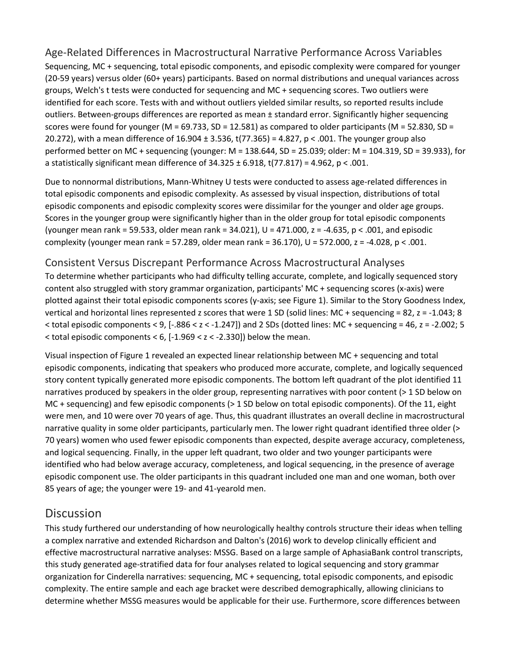## Age-Related Differences in Macrostructural Narrative Performance Across Variables

Sequencing, MC + sequencing, total episodic components, and episodic complexity were compared for younger (20-59 years) versus older (60+ years) participants. Based on normal distributions and unequal variances across groups, Welch's t tests were conducted for sequencing and MC + sequencing scores. Two outliers were identified for each score. Tests with and without outliers yielded similar results, so reported results include outliers. Between-groups differences are reported as mean ± standard error. Significantly higher sequencing scores were found for younger (M = 69.733, SD = 12.581) as compared to older participants (M = 52.830, SD = 20.272), with a mean difference of  $16.904 \pm 3.536$ , t(77.365) = 4.827, p < .001. The younger group also performed better on MC + sequencing (younger: M = 138.644, SD = 25.039; older: M = 104.319, SD = 39.933), for a statistically significant mean difference of  $34.325 \pm 6.918$ , t(77.817) = 4.962, p < .001.

Due to nonnormal distributions, Mann-Whitney U tests were conducted to assess age-related differences in total episodic components and episodic complexity. As assessed by visual inspection, distributions of total episodic components and episodic complexity scores were dissimilar for the younger and older age groups. Scores in the younger group were significantly higher than in the older group for total episodic components (younger mean rank = 59.533, older mean rank =  $34.021$ ), U =  $471.000$ , z =  $-4.635$ , p < .001, and episodic complexity (younger mean rank = 57.289, older mean rank = 36.170), U = 572.000, z = -4.028, p < .001.

#### Consistent Versus Discrepant Performance Across Macrostructural Analyses

To determine whether participants who had difficulty telling accurate, complete, and logically sequenced story content also struggled with story grammar organization, participants' MC + sequencing scores (x-axis) were plotted against their total episodic components scores (y-axis; see Figure 1). Similar to the Story Goodness Index, vertical and horizontal lines represented z scores that were 1 SD (solid lines: MC + sequencing = 82, z = -1.043; 8  $<$  total episodic components  $<$  9, [-.886  $<$  z  $<$  -1.247]) and 2 SDs (dotted lines: MC + sequencing = 46, z = -2.002; 5  $\le$  total episodic components  $\le$  6, [-1.969  $\le$  z  $\le$  -2.330]) below the mean.

Visual inspection of Figure 1 revealed an expected linear relationship between MC + sequencing and total episodic components, indicating that speakers who produced more accurate, complete, and logically sequenced story content typically generated more episodic components. The bottom left quadrant of the plot identified 11 narratives produced by speakers in the older group, representing narratives with poor content (> 1 SD below on MC + sequencing) and few episodic components (> 1 SD below on total episodic components). Of the 11, eight were men, and 10 were over 70 years of age. Thus, this quadrant illustrates an overall decline in macrostructural narrative quality in some older participants, particularly men. The lower right quadrant identified three older (> 70 years) women who used fewer episodic components than expected, despite average accuracy, completeness, and logical sequencing. Finally, in the upper left quadrant, two older and two younger participants were identified who had below average accuracy, completeness, and logical sequencing, in the presence of average episodic component use. The older participants in this quadrant included one man and one woman, both over 85 years of age; the younger were 19- and 41-yearold men.

## **Discussion**

This study furthered our understanding of how neurologically healthy controls structure their ideas when telling a complex narrative and extended Richardson and Dalton's (2016) work to develop clinically efficient and effective macrostructural narrative analyses: MSSG. Based on a large sample of AphasiaBank control transcripts, this study generated age-stratified data for four analyses related to logical sequencing and story grammar organization for Cinderella narratives: sequencing, MC + sequencing, total episodic components, and episodic complexity. The entire sample and each age bracket were described demographically, allowing clinicians to determine whether MSSG measures would be applicable for their use. Furthermore, score differences between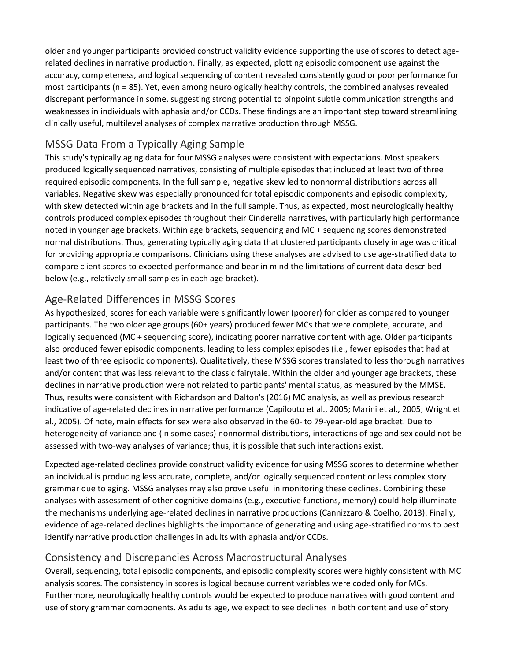older and younger participants provided construct validity evidence supporting the use of scores to detect agerelated declines in narrative production. Finally, as expected, plotting episodic component use against the accuracy, completeness, and logical sequencing of content revealed consistently good or poor performance for most participants (n = 85). Yet, even among neurologically healthy controls, the combined analyses revealed discrepant performance in some, suggesting strong potential to pinpoint subtle communication strengths and weaknesses in individuals with aphasia and/or CCDs. These findings are an important step toward streamlining clinically useful, multilevel analyses of complex narrative production through MSSG.

## MSSG Data From a Typically Aging Sample

This study's typically aging data for four MSSG analyses were consistent with expectations. Most speakers produced logically sequenced narratives, consisting of multiple episodes that included at least two of three required episodic components. In the full sample, negative skew led to nonnormal distributions across all variables. Negative skew was especially pronounced for total episodic components and episodic complexity, with skew detected within age brackets and in the full sample. Thus, as expected, most neurologically healthy controls produced complex episodes throughout their Cinderella narratives, with particularly high performance noted in younger age brackets. Within age brackets, sequencing and MC + sequencing scores demonstrated normal distributions. Thus, generating typically aging data that clustered participants closely in age was critical for providing appropriate comparisons. Clinicians using these analyses are advised to use age-stratified data to compare client scores to expected performance and bear in mind the limitations of current data described below (e.g., relatively small samples in each age bracket).

## Age-Related Differences in MSSG Scores

As hypothesized, scores for each variable were significantly lower (poorer) for older as compared to younger participants. The two older age groups (60+ years) produced fewer MCs that were complete, accurate, and logically sequenced (MC + sequencing score), indicating poorer narrative content with age. Older participants also produced fewer episodic components, leading to less complex episodes (i.e., fewer episodes that had at least two of three episodic components). Qualitatively, these MSSG scores translated to less thorough narratives and/or content that was less relevant to the classic fairytale. Within the older and younger age brackets, these declines in narrative production were not related to participants' mental status, as measured by the MMSE. Thus, results were consistent with Richardson and Dalton's (2016) MC analysis, as well as previous research indicative of age-related declines in narrative performance (Capilouto et al., 2005; Marini et al., 2005; Wright et al., 2005). Of note, main effects for sex were also observed in the 60- to 79-year-old age bracket. Due to heterogeneity of variance and (in some cases) nonnormal distributions, interactions of age and sex could not be assessed with two-way analyses of variance; thus, it is possible that such interactions exist.

Expected age-related declines provide construct validity evidence for using MSSG scores to determine whether an individual is producing less accurate, complete, and/or logically sequenced content or less complex story grammar due to aging. MSSG analyses may also prove useful in monitoring these declines. Combining these analyses with assessment of other cognitive domains (e.g., executive functions, memory) could help illuminate the mechanisms underlying age-related declines in narrative productions (Cannizzaro & Coelho, 2013). Finally, evidence of age-related declines highlights the importance of generating and using age-stratified norms to best identify narrative production challenges in adults with aphasia and/or CCDs.

#### Consistency and Discrepancies Across Macrostructural Analyses

Overall, sequencing, total episodic components, and episodic complexity scores were highly consistent with MC analysis scores. The consistency in scores is logical because current variables were coded only for MCs. Furthermore, neurologically healthy controls would be expected to produce narratives with good content and use of story grammar components. As adults age, we expect to see declines in both content and use of story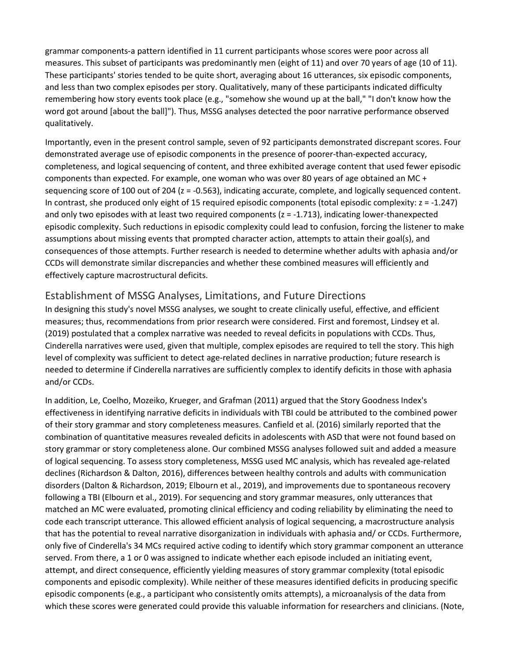grammar components-a pattern identified in 11 current participants whose scores were poor across all measures. This subset of participants was predominantly men (eight of 11) and over 70 years of age (10 of 11). These participants' stories tended to be quite short, averaging about 16 utterances, six episodic components, and less than two complex episodes per story. Qualitatively, many of these participants indicated difficulty remembering how story events took place (e.g., "somehow she wound up at the ball," "I don't know how the word got around [about the ball]"). Thus, MSSG analyses detected the poor narrative performance observed qualitatively.

Importantly, even in the present control sample, seven of 92 participants demonstrated discrepant scores. Four demonstrated average use of episodic components in the presence of poorer-than-expected accuracy, completeness, and logical sequencing of content, and three exhibited average content that used fewer episodic components than expected. For example, one woman who was over 80 years of age obtained an MC + sequencing score of 100 out of 204 (z = -0.563), indicating accurate, complete, and logically sequenced content. In contrast, she produced only eight of 15 required episodic components (total episodic complexity: z = -1.247) and only two episodes with at least two required components (z = -1.713), indicating lower-thanexpected episodic complexity. Such reductions in episodic complexity could lead to confusion, forcing the listener to make assumptions about missing events that prompted character action, attempts to attain their goal(s), and consequences of those attempts. Further research is needed to determine whether adults with aphasia and/or CCDs will demonstrate similar discrepancies and whether these combined measures will efficiently and effectively capture macrostructural deficits.

## Establishment of MSSG Analyses, Limitations, and Future Directions

In designing this study's novel MSSG analyses, we sought to create clinically useful, effective, and efficient measures; thus, recommendations from prior research were considered. First and foremost, Lindsey et al. (2019) postulated that a complex narrative was needed to reveal deficits in populations with CCDs. Thus, Cinderella narratives were used, given that multiple, complex episodes are required to tell the story. This high level of complexity was sufficient to detect age-related declines in narrative production; future research is needed to determine if Cinderella narratives are sufficiently complex to identify deficits in those with aphasia and/or CCDs.

In addition, Le, Coelho, Mozeiko, Krueger, and Grafman (2011) argued that the Story Goodness Index's effectiveness in identifying narrative deficits in individuals with TBI could be attributed to the combined power of their story grammar and story completeness measures. Canfield et al. (2016) similarly reported that the combination of quantitative measures revealed deficits in adolescents with ASD that were not found based on story grammar or story completeness alone. Our combined MSSG analyses followed suit and added a measure of logical sequencing. To assess story completeness, MSSG used MC analysis, which has revealed age-related declines (Richardson & Dalton, 2016), differences between healthy controls and adults with communication disorders (Dalton & Richardson, 2019; Elbourn et al., 2019), and improvements due to spontaneous recovery following a TBI (Elbourn et al., 2019). For sequencing and story grammar measures, only utterances that matched an MC were evaluated, promoting clinical efficiency and coding reliability by eliminating the need to code each transcript utterance. This allowed efficient analysis of logical sequencing, a macrostructure analysis that has the potential to reveal narrative disorganization in individuals with aphasia and/ or CCDs. Furthermore, only five of Cinderella's 34 MCs required active coding to identify which story grammar component an utterance served. From there, a 1 or 0 was assigned to indicate whether each episode included an initiating event, attempt, and direct consequence, efficiently yielding measures of story grammar complexity (total episodic components and episodic complexity). While neither of these measures identified deficits in producing specific episodic components (e.g., a participant who consistently omits attempts), a microanalysis of the data from which these scores were generated could provide this valuable information for researchers and clinicians. (Note,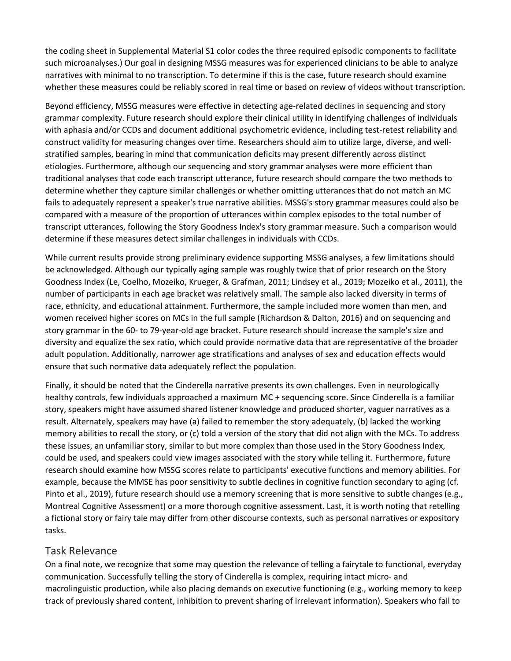the coding sheet in Supplemental Material S1 color codes the three required episodic components to facilitate such microanalyses.) Our goal in designing MSSG measures was for experienced clinicians to be able to analyze narratives with minimal to no transcription. To determine if this is the case, future research should examine whether these measures could be reliably scored in real time or based on review of videos without transcription.

Beyond efficiency, MSSG measures were effective in detecting age-related declines in sequencing and story grammar complexity. Future research should explore their clinical utility in identifying challenges of individuals with aphasia and/or CCDs and document additional psychometric evidence, including test-retest reliability and construct validity for measuring changes over time. Researchers should aim to utilize large, diverse, and wellstratified samples, bearing in mind that communication deficits may present differently across distinct etiologies. Furthermore, although our sequencing and story grammar analyses were more efficient than traditional analyses that code each transcript utterance, future research should compare the two methods to determine whether they capture similar challenges or whether omitting utterances that do not match an MC fails to adequately represent a speaker's true narrative abilities. MSSG's story grammar measures could also be compared with a measure of the proportion of utterances within complex episodes to the total number of transcript utterances, following the Story Goodness Index's story grammar measure. Such a comparison would determine if these measures detect similar challenges in individuals with CCDs.

While current results provide strong preliminary evidence supporting MSSG analyses, a few limitations should be acknowledged. Although our typically aging sample was roughly twice that of prior research on the Story Goodness Index (Le, Coelho, Mozeiko, Krueger, & Grafman, 2011; Lindsey et al., 2019; Mozeiko et al., 2011), the number of participants in each age bracket was relatively small. The sample also lacked diversity in terms of race, ethnicity, and educational attainment. Furthermore, the sample included more women than men, and women received higher scores on MCs in the full sample (Richardson & Dalton, 2016) and on sequencing and story grammar in the 60- to 79-year-old age bracket. Future research should increase the sample's size and diversity and equalize the sex ratio, which could provide normative data that are representative of the broader adult population. Additionally, narrower age stratifications and analyses of sex and education effects would ensure that such normative data adequately reflect the population.

Finally, it should be noted that the Cinderella narrative presents its own challenges. Even in neurologically healthy controls, few individuals approached a maximum MC + sequencing score. Since Cinderella is a familiar story, speakers might have assumed shared listener knowledge and produced shorter, vaguer narratives as a result. Alternately, speakers may have (a) failed to remember the story adequately, (b) lacked the working memory abilities to recall the story, or (c) told a version of the story that did not align with the MCs. To address these issues, an unfamiliar story, similar to but more complex than those used in the Story Goodness Index, could be used, and speakers could view images associated with the story while telling it. Furthermore, future research should examine how MSSG scores relate to participants' executive functions and memory abilities. For example, because the MMSE has poor sensitivity to subtle declines in cognitive function secondary to aging (cf. Pinto et al., 2019), future research should use a memory screening that is more sensitive to subtle changes (e.g., Montreal Cognitive Assessment) or a more thorough cognitive assessment. Last, it is worth noting that retelling a fictional story or fairy tale may differ from other discourse contexts, such as personal narratives or expository tasks.

#### Task Relevance

On a final note, we recognize that some may question the relevance of telling a fairytale to functional, everyday communication. Successfully telling the story of Cinderella is complex, requiring intact micro- and macrolinguistic production, while also placing demands on executive functioning (e.g., working memory to keep track of previously shared content, inhibition to prevent sharing of irrelevant information). Speakers who fail to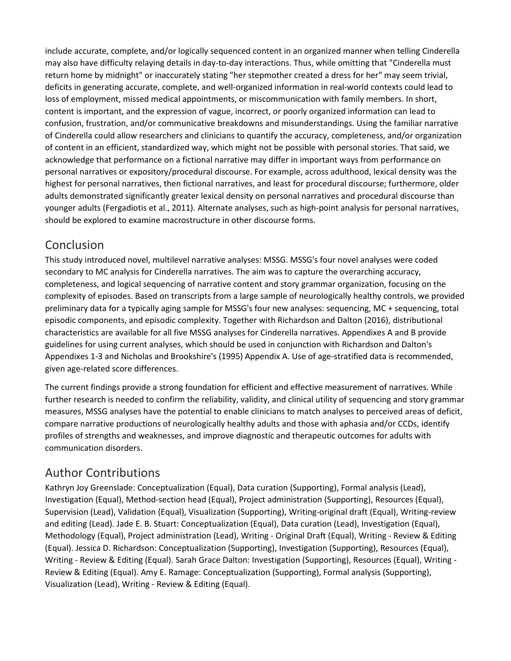include accurate, complete, and/or logically sequenced content in an organized manner when telling Cinderella may also have difficulty relaying details in day-to-day interactions. Thus, while omitting that "Cinderella must return home by midnight" or inaccurately stating "her stepmother created a dress for her" may seem trivial, deficits in generating accurate, complete, and well-organized information in real-world contexts could lead to loss of employment, missed medical appointments, or miscommunication with family members. In short, content is important, and the expression of vague, incorrect, or poorly organized information can lead to confusion, frustration, and/or communicative breakdowns and misunderstandings. Using the familiar narrative of Cinderella could allow researchers and clinicians to quantify the accuracy, completeness, and/or organization of content in an efficient, standardized way, which might not be possible with personal stories. That said, we acknowledge that performance on a fictional narrative may differ in important ways from performance on personal narratives or expository/procedural discourse. For example, across adulthood, lexical density was the highest for personal narratives, then fictional narratives, and least for procedural discourse; furthermore, older adults demonstrated significantly greater lexical density on personal narratives and procedural discourse than younger adults (Fergadiotis et al., 2011). Alternate analyses, such as high-point analysis for personal narratives, should be explored to examine macrostructure in other discourse forms.

# Conclusion

This study introduced novel, multilevel narrative analyses: MSSG. MSSG's four novel analyses were coded secondary to MC analysis for Cinderella narratives. The aim was to capture the overarching accuracy, completeness, and logical sequencing of narrative content and story grammar organization, focusing on the complexity of episodes. Based on transcripts from a large sample of neurologically healthy controls, we provided preliminary data for a typically aging sample for MSSG's four new analyses: sequencing, MC + sequencing, total episodic components, and episodic complexity. Together with Richardson and Dalton (2016), distributional characteristics are available for all five MSSG analyses for Cinderella narratives. Appendixes A and B provide guidelines for using current analyses, which should be used in conjunction with Richardson and Dalton's Appendixes 1-3 and Nicholas and Brookshire's (1995) Appendix A. Use of age-stratified data is recommended, given age-related score differences.

The current findings provide a strong foundation for efficient and effective measurement of narratives. While further research is needed to confirm the reliability, validity, and clinical utility of sequencing and story grammar measures, MSSG analyses have the potential to enable clinicians to match analyses to perceived areas of deficit, compare narrative productions of neurologically healthy adults and those with aphasia and/or CCDs, identify profiles of strengths and weaknesses, and improve diagnostic and therapeutic outcomes for adults with communication disorders.

# Author Contributions

Kathryn Joy Greenslade: Conceptualization (Equal), Data curation (Supporting), Formal analysis (Lead), Investigation (Equal), Method-section head (Equal), Project administration (Supporting), Resources (Equal), Supervision (Lead), Validation (Equal), Visualization (Supporting), Writing-original draft (Equal), Writing-review and editing (Lead). Jade E. B. Stuart: Conceptualization (Equal), Data curation (Lead), Investigation (Equal), Methodology (Equal), Project administration (Lead), Writing - Original Draft (Equal), Writing - Review & Editing (Equal). Jessica D. Richardson: Conceptualization (Supporting), Investigation (Supporting), Resources (Equal), Writing - Review & Editing (Equal). Sarah Grace Dalton: Investigation (Supporting), Resources (Equal), Writing - Review & Editing (Equal). Amy E. Ramage: Conceptualization (Supporting), Formal analysis (Supporting), Visualization (Lead), Writing - Review & Editing (Equal).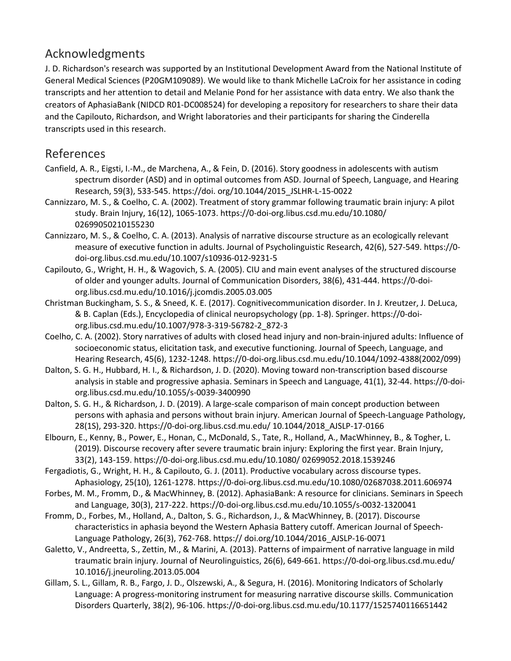# Acknowledgments

J. D. Richardson's research was supported by an Institutional Development Award from the National Institute of General Medical Sciences (P20GM109089). We would like to thank Michelle LaCroix for her assistance in coding transcripts and her attention to detail and Melanie Pond for her assistance with data entry. We also thank the creators of AphasiaBank (NIDCD R01-DC008524) for developing a repository for researchers to share their data and the Capilouto, Richardson, and Wright laboratories and their participants for sharing the Cinderella transcripts used in this research.

# References

- Canfield, A. R., Eigsti, I.-M., de Marchena, A., & Fein, D. (2016). Story goodness in adolescents with autism spectrum disorder (ASD) and in optimal outcomes from ASD. Journal of Speech, Language, and Hearing Research, 59(3), 533-545. https://doi. org/10.1044/2015\_JSLHR-L-15-0022
- Cannizzaro, M. S., & Coelho, C. A. (2002). Treatment of story grammar following traumatic brain injury: A pilot study. Brain Injury, 16(12), 1065-1073. https://0-doi-org.libus.csd.mu.edu/10.1080/ 02699050210155230
- Cannizzaro, M. S., & Coelho, C. A. (2013). Analysis of narrative discourse structure as an ecologically relevant measure of executive function in adults. Journal of Psycholinguistic Research, 42(6), 527-549. https://0 doi-org.libus.csd.mu.edu/10.1007/s10936-012-9231-5
- Capilouto, G., Wright, H. H., & Wagovich, S. A. (2005). CIU and main event analyses of the structured discourse of older and younger adults. Journal of Communication Disorders, 38(6), 431-444. https://0-doiorg.libus.csd.mu.edu/10.1016/j.jcomdis.2005.03.005
- Christman Buckingham, S. S., & Sneed, K. E. (2017). Cognitivecommunication disorder. In J. Kreutzer, J. DeLuca, & B. Caplan (Eds.), Encyclopedia of clinical neuropsychology (pp. 1-8). Springer. https://0-doiorg.libus.csd.mu.edu/10.1007/978-3-319-56782-2\_872-3
- Coelho, C. A. (2002). Story narratives of adults with closed head injury and non-brain-injured adults: Influence of socioeconomic status, elicitation task, and executive functioning. Journal of Speech, Language, and Hearing Research, 45(6), 1232-1248. https://0-doi-org.libus.csd.mu.edu/10.1044/1092-4388(2002/099)
- Dalton, S. G. H., Hubbard, H. I., & Richardson, J. D. (2020). Moving toward non-transcription based discourse analysis in stable and progressive aphasia. Seminars in Speech and Language, 41(1), 32-44. https://0-doiorg.libus.csd.mu.edu/10.1055/s-0039-3400990
- Dalton, S. G. H., & Richardson, J. D. (2019). A large-scale comparison of main concept production between persons with aphasia and persons without brain injury. American Journal of Speech-Language Pathology, 28(1S), 293-320. https://0-doi-org.libus.csd.mu.edu/ 10.1044/2018\_AJSLP-17-0166
- Elbourn, E., Kenny, B., Power, E., Honan, C., McDonald, S., Tate, R., Holland, A., MacWhinney, B., & Togher, L. (2019). Discourse recovery after severe traumatic brain injury: Exploring the first year. Brain Injury, 33(2), 143-159. https://0-doi-org.libus.csd.mu.edu/10.1080/ 02699052.2018.1539246
- Fergadiotis, G., Wright, H. H., & Capilouto, G. J. (2011). Productive vocabulary across discourse types. Aphasiology, 25(10), 1261-1278. https://0-doi-org.libus.csd.mu.edu/10.1080/02687038.2011.606974
- Forbes, M. M., Fromm, D., & MacWhinney, B. (2012). AphasiaBank: A resource for clinicians. Seminars in Speech and Language, 30(3), 217-222. https://0-doi-org.libus.csd.mu.edu/10.1055/s-0032-1320041
- Fromm, D., Forbes, M., Holland, A., Dalton, S. G., Richardson, J., & MacWhinney, B. (2017). Discourse characteristics in aphasia beyond the Western Aphasia Battery cutoff. American Journal of Speech-Language Pathology, 26(3), 762-768. https:// doi.org/10.1044/2016\_AJSLP-16-0071
- Galetto, V., Andreetta, S., Zettin, M., & Marini, A. (2013). Patterns of impairment of narrative language in mild traumatic brain injury. Journal of Neurolinguistics, 26(6), 649-661. https://0-doi-org.libus.csd.mu.edu/ 10.1016/j.jneuroling.2013.05.004
- Gillam, S. L., Gillam, R. B., Fargo, J. D., Olszewski, A., & Segura, H. (2016). Monitoring Indicators of Scholarly Language: A progress-monitoring instrument for measuring narrative discourse skills. Communication Disorders Quarterly, 38(2), 96-106. https://0-doi-org.libus.csd.mu.edu/10.1177/1525740116651442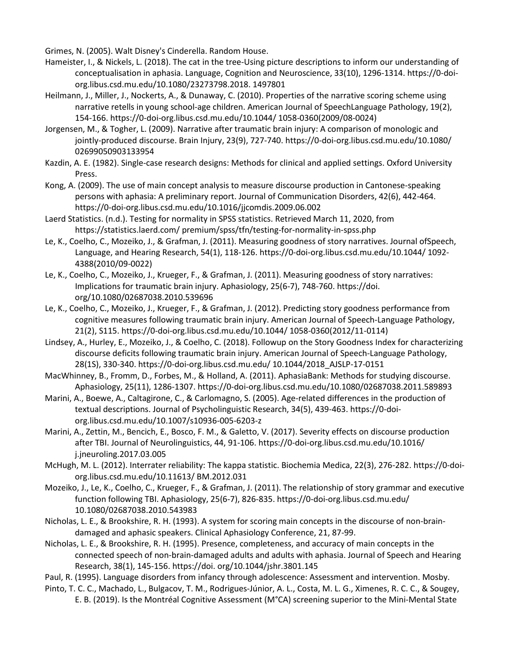Grimes, N. (2005). Walt Disney's Cinderella. Random House.

- Hameister, I., & Nickels, L. (2018). The cat in the tree-Using picture descriptions to inform our understanding of conceptualisation in aphasia. Language, Cognition and Neuroscience, 33(10), 1296-1314. https://0-doiorg.libus.csd.mu.edu/10.1080/23273798.2018. 1497801
- Heilmann, J., Miller, J., Nockerts, A., & Dunaway, C. (2010). Properties of the narrative scoring scheme using narrative retells in young school-age children. American Journal of SpeechLanguage Pathology, 19(2), 154-166. https://0-doi-org.libus.csd.mu.edu/10.1044/ 1058-0360(2009/08-0024)
- Jorgensen, M., & Togher, L. (2009). Narrative after traumatic brain injury: A comparison of monologic and jointly-produced discourse. Brain Injury, 23(9), 727-740. https://0-doi-org.libus.csd.mu.edu/10.1080/ 02699050903133954
- Kazdin, A. E. (1982). Single-case research designs: Methods for clinical and applied settings. Oxford University Press.
- Kong, A. (2009). The use of main concept analysis to measure discourse production in Cantonese-speaking persons with aphasia: A preliminary report. Journal of Communication Disorders, 42(6), 442-464. https://0-doi-org.libus.csd.mu.edu/10.1016/jjcomdis.2009.06.002
- Laerd Statistics. (n.d.). Testing for normality in SPSS statistics. Retrieved March 11, 2020, from https://statistics.laerd.com/ premium/spss/tfn/testing-for-normality-in-spss.php
- Le, K., Coelho, C., Mozeiko, J., & Grafman, J. (2011). Measuring goodness of story narratives. Journal ofSpeech, Language, and Hearing Research, 54(1), 118-126. https://0-doi-org.libus.csd.mu.edu/10.1044/ 1092- 4388(2010/09-0022)
- Le, K., Coelho, C., Mozeiko, J., Krueger, F., & Grafman, J. (2011). Measuring goodness of story narratives: Implications for traumatic brain injury. Aphasiology, 25(6-7), 748-760. https://doi. org/10.1080/02687038.2010.539696
- Le, K., Coelho, C., Mozeiko, J., Krueger, F., & Grafman, J. (2012). Predicting story goodness performance from cognitive measures following traumatic brain injury. American Journal of Speech-Language Pathology, 21(2), S115. https://0-doi-org.libus.csd.mu.edu/10.1044/ 1058-0360(2012/11-0114)
- Lindsey, A., Hurley, E., Mozeiko, J., & Coelho, C. (2018). Followup on the Story Goodness Index for characterizing discourse deficits following traumatic brain injury. American Journal of Speech-Language Pathology, 28(1S), 330-340. https://0-doi-org.libus.csd.mu.edu/ 10.1044/2018\_AJSLP-17-0151
- MacWhinney, B., Fromm, D., Forbes, M., & Holland, A. (2011). AphasiaBank: Methods for studying discourse. Aphasiology, 25(11), 1286-1307. https://0-doi-org.libus.csd.mu.edu/10.1080/02687038.2011.589893
- Marini, A., Boewe, A., Caltagirone, C., & Carlomagno, S. (2005). Age-related differences in the production of textual descriptions. Journal of Psycholinguistic Research, 34(5), 439-463. https://0-doiorg.libus.csd.mu.edu/10.1007/s10936-005-6203-z
- Marini, A., Zettin, M., Bencich, E., Bosco, F. M., & Galetto, V. (2017). Severity effects on discourse production after TBI. Journal of Neurolinguistics, 44, 91-106. https://0-doi-org.libus.csd.mu.edu/10.1016/ j.jneuroling.2017.03.005
- McHugh, M. L. (2012). Interrater reliability: The kappa statistic. Biochemia Medica, 22(3), 276-282. https://0-doiorg.libus.csd.mu.edu/10.11613/ BM.2012.031
- Mozeiko, J., Le, K., Coelho, C., Krueger, F., & Grafman, J. (2011). The relationship of story grammar and executive function following TBI. Aphasiology, 25(6-7), 826-835. https://0-doi-org.libus.csd.mu.edu/ 10.1080/02687038.2010.543983
- Nicholas, L. E., & Brookshire, R. H. (1993). A system for scoring main concepts in the discourse of non-braindamaged and aphasic speakers. Clinical Aphasiology Conference, 21, 87-99.
- Nicholas, L. E., & Brookshire, R. H. (1995). Presence, completeness, and accuracy of main concepts in the connected speech of non-brain-damaged adults and adults with aphasia. Journal of Speech and Hearing Research, 38(1), 145-156. https://doi. org/10.1044/jshr.3801.145
- Paul, R. (1995). Language disorders from infancy through adolescence: Assessment and intervention. Mosby.
- Pinto, T. C. C., Machado, L., Bulgacov, T. M., Rodrigues-Júnior, A. L., Costa, M. L. G., Ximenes, R. C. C., & Sougey, E. B. (2019). Is the Montréal Cognitive Assessment (M°CA) screening superior to the Mini-Mental State